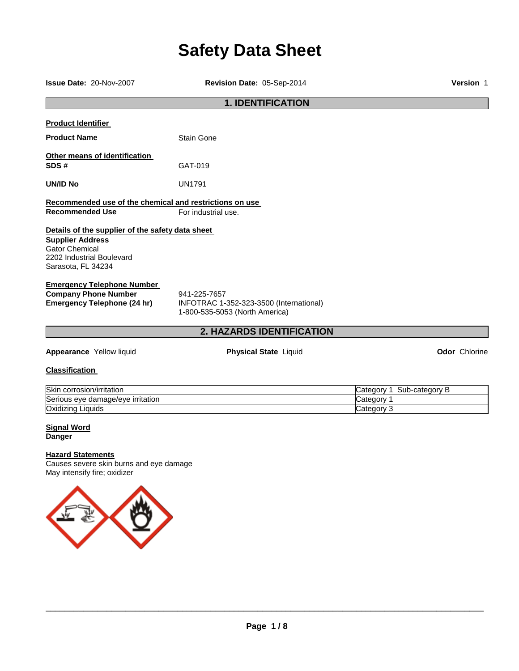# **Safety Data Sheet**

**Issue Date:** 20-Nov-2007 **Revision Date:** 05-Sep-2014 **Version** 1

# **1. IDENTIFICATION**

| <b>Product Identifier</b>                                                                                                                               |                                                                                           |  |  |
|---------------------------------------------------------------------------------------------------------------------------------------------------------|-------------------------------------------------------------------------------------------|--|--|
| <b>Product Name</b>                                                                                                                                     | Stain Gone                                                                                |  |  |
| Other means of identification<br>SDS#                                                                                                                   | GAT-019                                                                                   |  |  |
| <b>UN/ID No</b>                                                                                                                                         | UN1791                                                                                    |  |  |
| Recommended use of the chemical and restrictions on use                                                                                                 |                                                                                           |  |  |
| <b>Recommended Use</b>                                                                                                                                  | For industrial use.                                                                       |  |  |
| Details of the supplier of the safety data sheet<br><b>Supplier Address</b><br><b>Gator Chemical</b><br>2202 Industrial Boulevard<br>Sarasota, FL 34234 |                                                                                           |  |  |
| <b>Emergency Telephone Number</b><br><b>Company Phone Number</b><br>Emergency Telephone (24 hr)                                                         | 941-225-7657<br>INFOTRAC 1-352-323-3500 (International)<br>1-800-535-5053 (North America) |  |  |
|                                                                                                                                                         | <b>2. HAZARDS IDENTIFICATION</b>                                                          |  |  |

**Appearance** Yellow liquid **Physical State** Liquid **Odor** Chlorine

**Classification** 

| Skin corrosion/irritation         | Sub<br>b-category.<br>'ategorب |
|-----------------------------------|--------------------------------|
| Serious eye damage/eye irritation | √ategor∪                       |
| Oxidizing<br>Liquids              | Category                       |

# **Signal Word Danger**

# **Hazard Statements**

Causes severe skin burns and eye damage May intensify fire; oxidizer

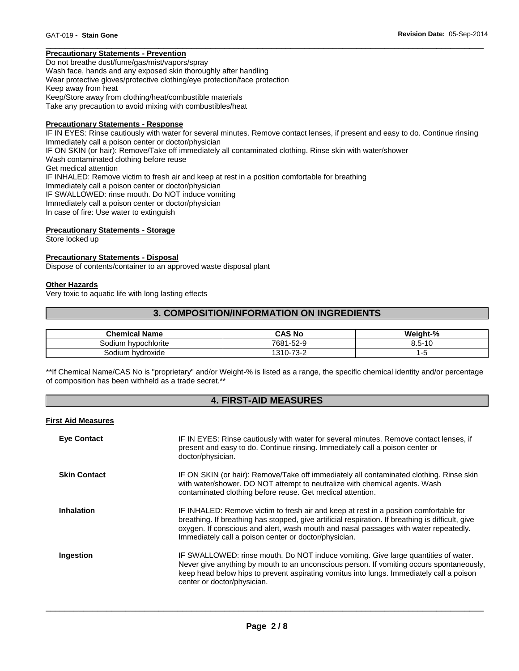# **Precautionary Statements - Prevention**

Do not breathe dust/fume/gas/mist/vapors/spray Wash face, hands and any exposed skin thoroughly after handling Wear protective gloves/protective clothing/eye protection/face protection Keep away from heat Keep/Store away from clothing/heat/combustible materials Take any precaution to avoid mixing with combustibles/heat

#### **Precautionary Statements - Response**

IF IN EYES: Rinse cautiously with water for several minutes. Remove contact lenses, if present and easy to do. Continue rinsing Immediately call a poison center or doctor/physician IF ON SKIN (or hair): Remove/Take off immediately all contaminated clothing. Rinse skin with water/shower Wash contaminated clothing before reuse Get medical attention IF INHALED: Remove victim to fresh air and keep at rest in a position comfortable for breathing Immediately call a poison center or doctor/physician IF SWALLOWED: rinse mouth. Do NOT induce vomiting Immediately call a poison center or doctor/physician In case of fire: Use water to extinguish

\_\_\_\_\_\_\_\_\_\_\_\_\_\_\_\_\_\_\_\_\_\_\_\_\_\_\_\_\_\_\_\_\_\_\_\_\_\_\_\_\_\_\_\_\_\_\_\_\_\_\_\_\_\_\_\_\_\_\_\_\_\_\_\_\_\_\_\_\_\_\_\_\_\_\_\_\_\_\_\_\_\_\_\_\_\_\_\_\_\_\_\_\_

# **Precautionary Statements - Storage**

Store locked up

# **Precautionary Statements - Disposal**

Dispose of contents/container to an approved waste disposal plant

#### **Other Hazards**

Very toxic to aquatic life with long lasting effects

# **3. COMPOSITION/INFORMATION ON INGREDIENTS**

| <b>Chemical Name</b>   | CAS No                         | Weight-%                    |
|------------------------|--------------------------------|-----------------------------|
| hypochlorite<br>odiumد | 7681<br>$-52-9$                | $-$<br>$\overline{A}$<br>5. |
| Sodium hvdroxide       | <u>ຳລັດ</u><br>1310-7.<br>ے-ت∨ | ∼                           |

\*\*If Chemical Name/CAS No is "proprietary" and/or Weight-% is listed as a range, the specific chemical identity and/or percentage of composition has been withheld as a trade secret.\*\*

# **4. FIRST-AID MEASURES**

#### **First Aid Measures**

| <b>Eye Contact</b>  | IF IN EYES: Rinse cautiously with water for several minutes. Remove contact lenses, if<br>present and easy to do. Continue rinsing. Immediately call a poison center or<br>doctor/physician.                                                                                                                                                |
|---------------------|---------------------------------------------------------------------------------------------------------------------------------------------------------------------------------------------------------------------------------------------------------------------------------------------------------------------------------------------|
| <b>Skin Contact</b> | IF ON SKIN (or hair): Remove/Take off immediately all contaminated clothing. Rinse skin<br>with water/shower. DO NOT attempt to neutralize with chemical agents. Wash<br>contaminated clothing before reuse. Get medical attention.                                                                                                         |
| <b>Inhalation</b>   | IF INHALED: Remove victim to fresh air and keep at rest in a position comfortable for<br>breathing. If breathing has stopped, give artificial respiration. If breathing is difficult, give<br>oxygen. If conscious and alert, wash mouth and nasal passages with water repeatedly.<br>Immediately call a poison center or doctor/physician. |
| Ingestion           | IF SWALLOWED: rinse mouth. Do NOT induce vomiting. Give large quantities of water.<br>Never give anything by mouth to an unconscious person. If vomiting occurs spontaneously,<br>keep head below hips to prevent aspirating vomitus into lungs. Immediately call a poison<br>center or doctor/physician.                                   |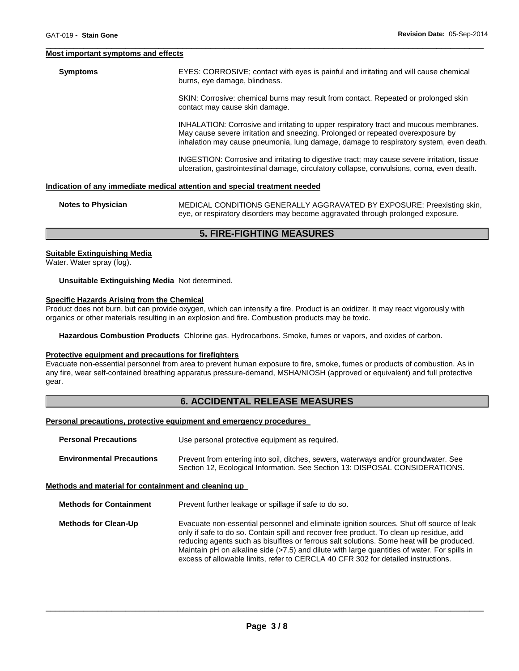#### **Most important symptoms and effects**

**Symptoms** EYES: CORROSIVE; contact with eyes is painful and irritating and will cause chemical burns, eye damage, blindness.

> SKIN: Corrosive: chemical burns may result from contact. Repeated or prolonged skin contact may cause skin damage.

INHALATION: Corrosive and irritating to upper respiratory tract and mucous membranes. May cause severe irritation and sneezing. Prolonged or repeated overexposure by inhalation may cause pneumonia, lung damage, damage to respiratory system, even death.

INGESTION: Corrosive and irritating to digestive tract; may cause severe irritation, tissue ulceration, gastrointestinal damage, circulatory collapse, convulsions, coma, even death.

# **Indication of any immediate medical attention and special treatment needed**

| <b>Notes to Physician</b> | MEDICAL CONDITIONS GENERALLY AGGRAVATED BY EXPOSURE: Preexisting skin,          |
|---------------------------|---------------------------------------------------------------------------------|
|                           | eye, or respiratory disorders may become aggravated through prolonged exposure. |

\_\_\_\_\_\_\_\_\_\_\_\_\_\_\_\_\_\_\_\_\_\_\_\_\_\_\_\_\_\_\_\_\_\_\_\_\_\_\_\_\_\_\_\_\_\_\_\_\_\_\_\_\_\_\_\_\_\_\_\_\_\_\_\_\_\_\_\_\_\_\_\_\_\_\_\_\_\_\_\_\_\_\_\_\_\_\_\_\_\_\_\_\_

# **5. FIRE-FIGHTING MEASURES**

#### **Suitable Extinguishing Media**

Water. Water spray (fog).

**Unsuitable Extinguishing Media** Not determined.

#### **Specific Hazards Arising from the Chemical**

Product does not burn, but can provide oxygen, which can intensify a fire. Product is an oxidizer. It may react vigorously with organics or other materials resulting in an explosion and fire. Combustion products may be toxic.

**Hazardous Combustion Products** Chlorine gas. Hydrocarbons. Smoke, fumes or vapors, and oxides of carbon.

#### **Protective equipment and precautions for firefighters**

Evacuate non-essential personnel from area to prevent human exposure to fire, smoke, fumes or products of combustion. As in any fire, wear self-contained breathing apparatus pressure-demand, MSHA/NIOSH (approved or equivalent) and full protective gear.

# **6. ACCIDENTAL RELEASE MEASURES**

#### **Personal precautions, protective equipment and emergency procedures**

| <b>Personal Precautions</b>      | Use personal protective equipment as required.                                                                                                                      |
|----------------------------------|---------------------------------------------------------------------------------------------------------------------------------------------------------------------|
| <b>Environmental Precautions</b> | Prevent from entering into soil, ditches, sewers, waterways and/or groundwater. See<br>Section 12, Ecological Information. See Section 13: DISPOSAL CONSIDERATIONS. |

### **Methods and material for containment and cleaning up**

**Methods for Containment** Prevent further leakage or spillage if safe to do so.

**Methods for Clean-Up Evacuate non-essential personnel and eliminate ignition sources. Shut off source of leak** only if safe to do so. Contain spill and recover free product. To clean up residue, add reducing agents such as bisulfites or ferrous salt solutions. Some heat will be produced. Maintain pH on alkaline side (>7.5) and dilute with large quantities of water. For spills in excess of allowable limits, refer to CERCLA 40 CFR 302 for detailed instructions.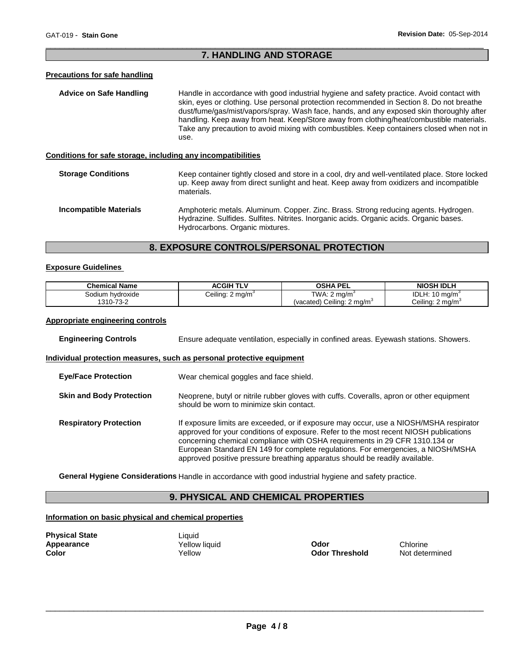# \_\_\_\_\_\_\_\_\_\_\_\_\_\_\_\_\_\_\_\_\_\_\_\_\_\_\_\_\_\_\_\_\_\_\_\_\_\_\_\_\_\_\_\_\_\_\_\_\_\_\_\_\_\_\_\_\_\_\_\_\_\_\_\_\_\_\_\_\_\_\_\_\_\_\_\_\_\_\_\_\_\_\_\_\_\_\_\_\_\_\_\_\_ **7. HANDLING AND STORAGE**

# **Precautions for safe handling**

| Advice on Safe Handling                                      | Handle in accordance with good industrial hygiene and safety practice. Avoid contact with<br>skin, eyes or clothing. Use personal protection recommended in Section 8. Do not breathe<br>dust/fume/gas/mist/vapors/spray. Wash face, hands, and any exposed skin thoroughly after<br>handling. Keep away from heat. Keep/Store away from clothing/heat/combustible materials.<br>Take any precaution to avoid mixing with combustibles. Keep containers closed when not in<br>use. |
|--------------------------------------------------------------|------------------------------------------------------------------------------------------------------------------------------------------------------------------------------------------------------------------------------------------------------------------------------------------------------------------------------------------------------------------------------------------------------------------------------------------------------------------------------------|
| Conditions for safe storage, including any incompatibilities |                                                                                                                                                                                                                                                                                                                                                                                                                                                                                    |
| <b>Storage Conditions</b>                                    | Keep container tightly closed and store in a cool, dry and well-ventilated place. Store locked<br>up. Keep away from direct sunlight and heat. Keep away from oxidizers and incompatible<br>materials.                                                                                                                                                                                                                                                                             |
| <b>Incompatible Materials</b>                                | Amphoteric metals. Aluminum. Copper. Zinc. Brass. Strong reducing agents. Hydrogen.                                                                                                                                                                                                                                                                                                                                                                                                |

Hydrazine. Sulfides. Sulfites. Nitrites. Inorganic acids. Organic acids. Organic bases. Hydrocarbons. Organic mixtures.

# **8. EXPOSURE CONTROLS/PERSONAL PROTECTION**

# **Exposure Guidelines**

| <b>Chemical Name</b> | <b>ACGIH TLV</b>             | <b>OSHA PEL</b>                        | <b>NIOSH IDLH</b>            |
|----------------------|------------------------------|----------------------------------------|------------------------------|
| Sodium hvdroxide     | Ceiling: 2 mg/m <sup>3</sup> | TWA: $2 \text{ mg/m}^3$                | IDLH: $10 \text{ mg/m}^3$    |
| 1310-73-2            |                              | (vacated) Ceiling: 2 mg/m <sup>3</sup> | Ceiling: 2 mg/m <sup>3</sup> |

# **Appropriate engineering controls**

| <b>Engineering Controls</b>                                           | Ensure adequate ventilation, especially in confined areas. Eyewash stations. Showers.                                                                                                                                                                                                                                                                                                                                             |  |
|-----------------------------------------------------------------------|-----------------------------------------------------------------------------------------------------------------------------------------------------------------------------------------------------------------------------------------------------------------------------------------------------------------------------------------------------------------------------------------------------------------------------------|--|
| Individual protection measures, such as personal protective equipment |                                                                                                                                                                                                                                                                                                                                                                                                                                   |  |
| <b>Eve/Face Protection</b>                                            | Wear chemical goggles and face shield.                                                                                                                                                                                                                                                                                                                                                                                            |  |
| <b>Skin and Body Protection</b>                                       | Neoprene, butyl or nitrile rubber gloves with cuffs. Coveralls, apron or other equipment<br>should be worn to minimize skin contact.                                                                                                                                                                                                                                                                                              |  |
| <b>Respiratory Protection</b>                                         | If exposure limits are exceeded, or if exposure may occur, use a NIOSH/MSHA respirator<br>approved for your conditions of exposure. Refer to the most recent NIOSH publications<br>concerning chemical compliance with OSHA requirements in 29 CFR 1310.134 or<br>European Standard EN 149 for complete regulations. For emergencies, a NIOSH/MSHA<br>approved positive pressure breathing apparatus should be readily available. |  |

**General Hygiene Considerations** Handle in accordance with good industrial hygiene and safety practice.

# **9. PHYSICAL AND CHEMICAL PROPERTIES**

# **Information on basic physical and chemical properties**

| <b>Physical State</b> |  |
|-----------------------|--|
| <b>Appearance</b>     |  |
| Color                 |  |

Liquid

**Odor Threshold** 

**Applicative Vellow liquid**<br> **Applicative Codor Threshold**<br> **Codor Threshold** Mot determined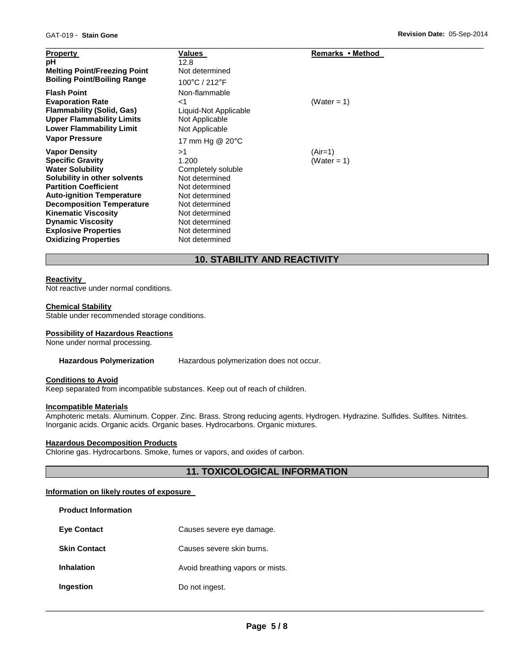| <b>Property</b><br>рH<br><b>Melting Point/Freezing Point</b><br><b>Boiling Point/Boiling Range</b>                                                       | Values<br>12.8<br>Not determined<br>100°C / 212°F                                      | Remarks • Method |
|----------------------------------------------------------------------------------------------------------------------------------------------------------|----------------------------------------------------------------------------------------|------------------|
| <b>Flash Point</b><br><b>Evaporation Rate</b><br><b>Flammability (Solid, Gas)</b><br><b>Upper Flammability Limits</b><br><b>Lower Flammability Limit</b> | Non-flammable<br>${<}1$<br>Liquid-Not Applicable<br>Not Applicable<br>Not Applicable   | (Water = 1)      |
| <b>Vapor Pressure</b><br><b>Vapor Density</b>                                                                                                            | 17 mm Hg @ 20°C<br>>1                                                                  | $(Air=1)$        |
| <b>Specific Gravity</b><br><b>Water Solubility</b><br>Solubility in other solvents<br><b>Partition Coefficient</b><br><b>Auto-ignition Temperature</b>   | 1.200<br>Completely soluble<br>Not determined<br>Not determined<br>Not determined      | (Water = 1)      |
| <b>Decomposition Temperature</b><br><b>Kinematic Viscosity</b><br><b>Dynamic Viscosity</b><br><b>Explosive Properties</b><br><b>Oxidizing Properties</b> | Not determined<br>Not determined<br>Not determined<br>Not determined<br>Not determined |                  |

# **10. STABILITY AND REACTIVITY**

# **Reactivity**

Not reactive under normal conditions.

# **Chemical Stability**

Stable under recommended storage conditions.

# **Possibility of Hazardous Reactions**

None under normal processing.

#### **Hazardous Polymerization** Hazardous polymerization does not occur.

# **Conditions to Avoid**

Keep separated from incompatible substances. Keep out of reach of children.

# **Incompatible Materials**

**Product Information** 

Amphoteric metals. Aluminum. Copper. Zinc. Brass. Strong reducing agents. Hydrogen. Hydrazine. Sulfides. Sulfites. Nitrites. Inorganic acids. Organic acids. Organic bases. Hydrocarbons. Organic mixtures.

# **Hazardous Decomposition Products**

Chlorine gas. Hydrocarbons. Smoke, fumes or vapors, and oxides of carbon.

# **11. TOXICOLOGICAL INFORMATION**

# **Information on likely routes of exposure**

| Causes severe eye damage.        |
|----------------------------------|
| Causes severe skin burns.        |
| Avoid breathing vapors or mists. |
| Do not ingest.                   |
|                                  |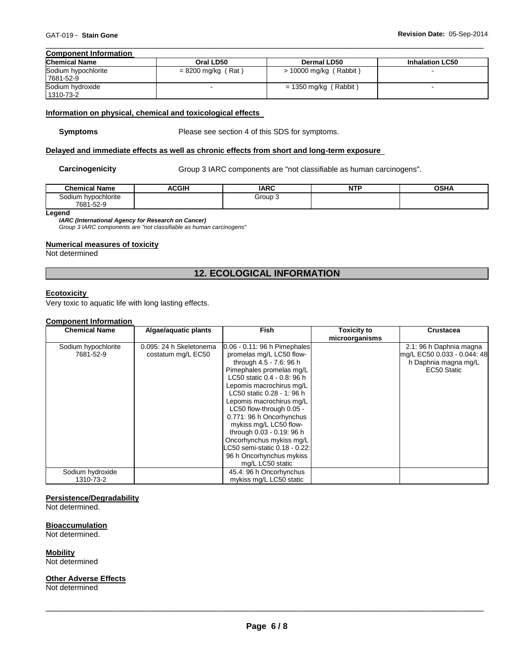#### \_\_\_\_\_\_\_\_\_\_\_\_\_\_\_\_\_\_\_\_\_\_\_\_\_\_\_\_\_\_\_\_\_\_\_\_\_\_\_\_\_\_\_\_\_\_\_\_\_\_\_\_\_\_\_\_\_\_\_\_\_\_\_\_\_\_\_\_\_\_\_\_\_\_\_\_\_\_\_\_\_\_\_\_\_\_\_\_\_\_\_\_\_ **Component Information**

| $>$ 10000 mg/kg (Rabbit) |  |
|--------------------------|--|
|                          |  |
| $= 1350$ mg/kg (Rabbit)  |  |
|                          |  |

# **Information on physical, chemical and toxicological effects**

**Symptoms** Please see section 4 of this SDS for symptoms.

# **Delayed and immediate effects as well as chronic effects from short and long-term exposure**

Carcinogenicity **Group 3 IARC** components are "not classifiable as human carcinogens".

| <b>Chemical Name</b>     | ACGIH<br>A. | <b>IARC</b> | <b>NTP</b><br>. | <b>OSHA</b> |
|--------------------------|-------------|-------------|-----------------|-------------|
| Sodium hypochlorite      |             | Group 3     |                 |             |
| 7004<br>ro c<br>681-52-9 |             |             |                 |             |

**Legend** 

*IARC (International Agency for Research on Cancer)*

*Group 3 IARC components are "not classifiable as human carcinogens"* 

# **Numerical measures of toxicity**

Not determined

# **12. ECOLOGICAL INFORMATION**

# **Ecotoxicity**

Very toxic to aquatic life with long lasting effects.

# **Component Information**

| <b>Chemical Name</b> | Algae/aquatic plants    | <b>Fish</b>                     | <b>Toxicity to</b> | <b>Crustacea</b>            |
|----------------------|-------------------------|---------------------------------|--------------------|-----------------------------|
|                      |                         |                                 | microorganisms     |                             |
| Sodium hypochlorite  | 0.095: 24 h Skeletonema | $0.06 - 0.11$ : 96 h Pimephales |                    | 2.1: 96 h Daphnia magna     |
| 7681-52-9            | costatum mg/L EC50      | promelas mg/L LC50 flow-        |                    | mg/L EC50 0.033 - 0.044: 48 |
|                      |                         | through 4.5 - 7.6: 96 h         |                    | h Daphnia magna mg/L        |
|                      |                         | Pimephales promelas mg/L        |                    | EC50 Static                 |
|                      |                         | LC50 static 0.4 - 0.8: 96 h     |                    |                             |
|                      |                         | Lepomis macrochirus mg/L        |                    |                             |
|                      |                         | LC50 static 0.28 - 1: 96 h      |                    |                             |
|                      |                         | Lepomis macrochirus mg/L        |                    |                             |
|                      |                         | LC50 flow-through 0.05 -        |                    |                             |
|                      |                         | 0.771: 96 h Oncorhynchus        |                    |                             |
|                      |                         | mykiss mg/L LC50 flow-          |                    |                             |
|                      |                         | through 0.03 - 0.19: 96 h       |                    |                             |
|                      |                         | Oncorhynchus mykiss mg/L        |                    |                             |
|                      |                         | LC50 semi-static 0.18 - 0.22:   |                    |                             |
|                      |                         | 96 h Oncorhynchus mykiss        |                    |                             |
|                      |                         | mg/L LC50 static                |                    |                             |
| Sodium hydroxide     |                         | 45.4: 96 h Oncorhynchus         |                    |                             |
| 1310-73-2            |                         | mykiss mg/L LC50 static         |                    |                             |

# **Persistence/Degradability**

Not determined.

#### **Bioaccumulation**

Not determined.

**Mobility**

Not determined

# **Other Adverse Effects**

Not determined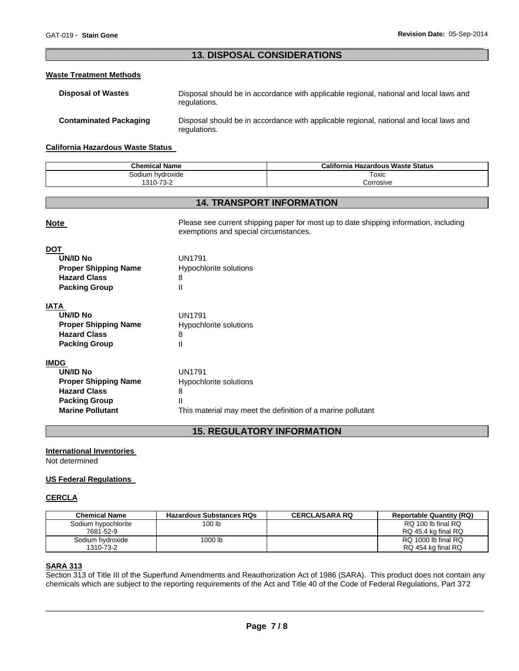# \_\_\_\_\_\_\_\_\_\_\_\_\_\_\_\_\_\_\_\_\_\_\_\_\_\_\_\_\_\_\_\_\_\_\_\_\_\_\_\_\_\_\_\_\_\_\_\_\_\_\_\_\_\_\_\_\_\_\_\_\_\_\_\_\_\_\_\_\_\_\_\_\_\_\_\_\_\_\_\_\_\_\_\_\_\_\_\_\_\_\_\_\_ **13. DISPOSAL CONSIDERATIONS**

# **Waste Treatment Methods**

| <b>Disposal of Wastes</b>     | Disposal should be in accordance with applicable regional, national and local laws and<br>regulations. |
|-------------------------------|--------------------------------------------------------------------------------------------------------|
| <b>Contaminated Packaging</b> | Disposal should be in accordance with applicable regional, national and local laws and<br>regulations. |

#### **California Hazardous Waste Status**

| <b>Chemical Name</b> | California<br><b>Hazardous Waste Status</b> |
|----------------------|---------------------------------------------|
| Sodium hvdroxide     | Toxic                                       |
| 1310-73-2<br>-10-∠   | corrosive.                                  |

# **14. TRANSPORT INFORMATION**

| <b>Note</b>                 | Please see current shipping paper for most up to date shipping information, including<br>exemptions and special circumstances. |  |
|-----------------------------|--------------------------------------------------------------------------------------------------------------------------------|--|
| <b>DOT</b>                  |                                                                                                                                |  |
| <b>UN/ID No</b>             | <b>UN1791</b>                                                                                                                  |  |
| <b>Proper Shipping Name</b> | Hypochlorite solutions                                                                                                         |  |
| <b>Hazard Class</b>         | 8                                                                                                                              |  |
| <b>Packing Group</b>        | Ш                                                                                                                              |  |
| <b>IATA</b>                 |                                                                                                                                |  |
| <b>UN/ID No</b>             | <b>UN1791</b>                                                                                                                  |  |
| <b>Proper Shipping Name</b> | Hypochlorite solutions                                                                                                         |  |
| <b>Hazard Class</b>         | 8                                                                                                                              |  |
| <b>Packing Group</b>        | Ш                                                                                                                              |  |
| <b>IMDG</b>                 |                                                                                                                                |  |
| <b>UN/ID No</b>             | <b>UN1791</b>                                                                                                                  |  |
| <b>Proper Shipping Name</b> | Hypochlorite solutions                                                                                                         |  |
| <b>Hazard Class</b>         | 8                                                                                                                              |  |
| <b>Packing Group</b>        | Ш                                                                                                                              |  |
| <b>Marine Pollutant</b>     | This material may meet the definition of a marine pollutant                                                                    |  |

# **15. REGULATORY INFORMATION**

# **International Inventories**

Not determined

# **US Federal Regulations**

# **CERCLA**

| <b>Chemical Name</b> | <b>Hazardous Substances RQs</b> | <b>CERCLA/SARA RQ</b> | <b>Reportable Quantity (RQ)</b> |
|----------------------|---------------------------------|-----------------------|---------------------------------|
| Sodium hypochlorite  | 100 lb                          |                       | RQ 100 lb final RQ              |
| 7681-52-9            |                                 |                       | RQ 45.4 kg final RQ             |
| Sodium hydroxide     | 1000 lb                         |                       | RQ 1000 lb final RQ             |
| 1310-73-2            |                                 |                       | RQ 454 kg final RQ              |

# **SARA 313**

Section 313 of Title III of the Superfund Amendments and Reauthorization Act of 1986 (SARA). This product does not contain any chemicals which are subject to the reporting requirements of the Act and Title 40 of the Code of Federal Regulations, Part 372